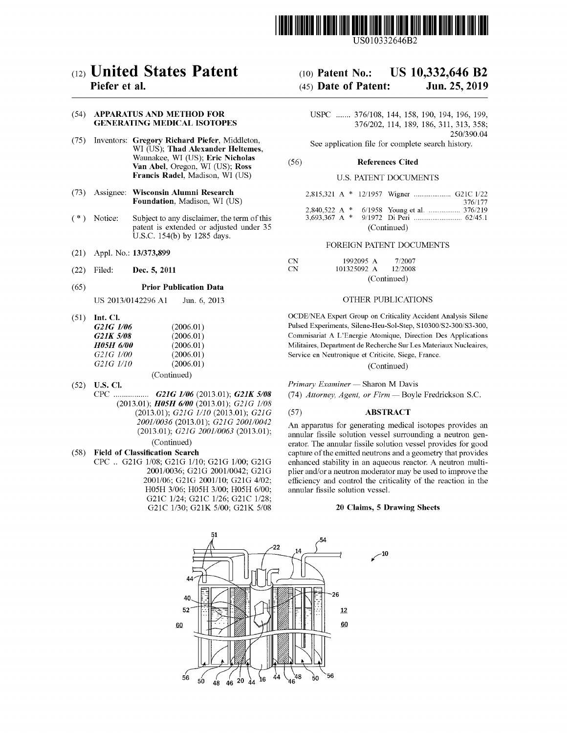

US010332646B2

# c12) **United States Patent**

## **Piefer et al.**

#### (54) **APPARATUS AND METHOD FOR GENERATING MEDICAL ISOTOPES**

- (75) Inventors: **Gregory Richard Piefer,** Middleton, WI (US); **Thad Alexander Heltemes,**  Waunakee, WI (US); **Eric Nicholas Van Abel,** Oregon, WI (US); **Ross Francis Radel,** Madison, WI (US)
- (73) Assignee: **Wisconsin Alumni Research Foundation,** Madison, WI (US)
- (\*) Notice: Subject to any disclaimer, the term of this patent is extended or adjusted under 35 U.S.C. 154(b) by 1285 days.
- (21) Appl. No.: **13/373,899**
- (22) Filed: **Dec. 5, 2011**

#### (65) **Prior Publication Data**

US 2013/0142296 Al Jun. 6, 2013

(51) **Int. Cl.** 

| G21G 1/06              | (2006.01) |
|------------------------|-----------|
| G <sub>21</sub> K 5/08 | (2006.01) |
| <b>H05H 6/00</b>       | (2006.01) |
| G <sub>21</sub> G 1/00 | (2006.01) |
| G21G 1/10              | (2006.01) |
|                        |           |

(Continued)

- (52) **U.S. Cl.** 
	- CPC ................. *G21G 1106* (2013.01); *G21K 5108*  (2013.01); *H05H 6/00* (2013.01); *G21G 1/08*  (2013.01); *G21G 1/10* (2013.01); *G21G 2001/0036* (2013.01); *G21G 2001/0042*  (2013.01); *G21G 2001/0063* (2013.01);

(Continued)

( 58) **Field of Classification Search**  CPC .. G21G 1/08; G21G 1/10; G21G 1/00; G21G 2001/0036; G21G 2001/0042; G21G 2001/06; G21G 2001/10; G21G 4/02; H05H 3/06; H05H 3/00; H05H 6/00; G21C 1/24; G21C 1/26; G21C 1/28; G21C 1/30; G21K 5/00; G21K 5/08

#### (IO) **Patent No.:**  (45) **Date of Patent: US 10,332,646 B2 Jun.25,2019**

USPC ....... 376/108, 144, 158, 190, 194, 196, 199, 376/202, 114, 189, 186, 311, 313, 358; 250/390.04

See application file for complete search history.

#### (56) **References Cited**

#### U.S. PATENT DOCUMENTS

|             |  |  |  |  | 376/177 |
|-------------|--|--|--|--|---------|
|             |  |  |  |  |         |
|             |  |  |  |  |         |
| (Continued) |  |  |  |  |         |

#### FOREIGN PATENT DOCUMENTS

| CN. | 1992095 A   | 7/2007      |
|-----|-------------|-------------|
| CN. | 101325092 A | 12/2008     |
|     |             | (Continued) |

#### OTHER PUBLICATIONS

OCDE/NEA Expert Group on Criticality Accident Analysis Silene Pulsed Experiments, Silene-Heu-Sol-Step, Sl0300/S2-300/S3-300, Commisariat A L'Energie Atomique, Direction Des Applications Militaires, Department de Recherche Sur Les Materiaux Nucleaires, Service en Neutronique et Criticite, Siege, France.

(Continued)

*Primary Examiner* - Sharon M Davis

(74) *Attorney, Agent, or Firm* - Boyle Fredrickson S.C.

#### (57) **ABSTRACT**

An apparatus for generating medical isotopes provides an annular fissile solution vessel surrounding a neutron generator. The annular fissile solution vessel provides for good capture of the emitted neutrons and a geometry that provides enhanced stability in an aqueous reactor. A neutron multiplier and/or a neutron moderator may be used to improve the efficiency and control the criticality of the reaction in the annular fissile solution vessel.

#### **20 Claims, 5 Drawing Sheets**

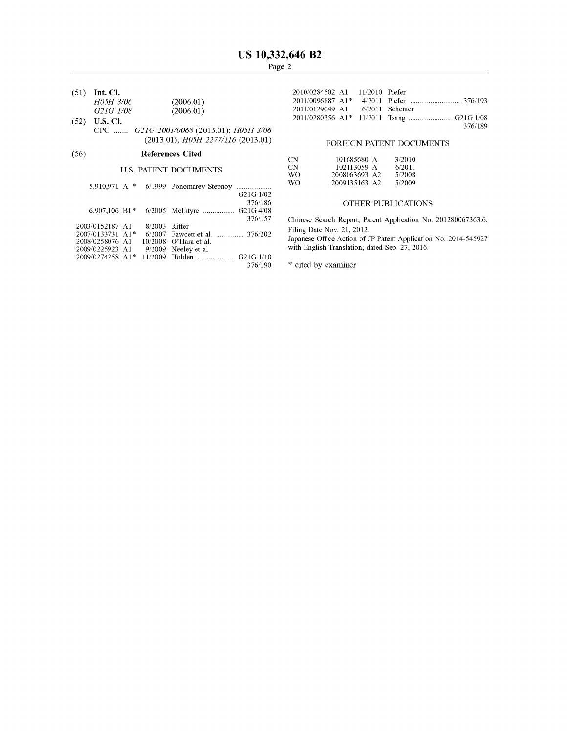| $(51)$ Int. Cl. |           |  |
|-----------------|-----------|--|
| H05H 3/06       | (2006.01) |  |
| G21G 1/08       | (2006.01) |  |
| $(52)$ its $C1$ |           |  |

(52) **U.S. Cl.**  CPC ....... *G21G 2001/0068* (2013.01); *H05H 3/06*  (2013.01); *H05H 22771116* (2013.01)

#### (56) **References Cited**

### U.S. PATENT DOCUMENTS

|                                 |                 | G21G 1/02                      |
|---------------------------------|-----------------|--------------------------------|
|                                 |                 | 376/186                        |
|                                 |                 |                                |
|                                 |                 | 376/157                        |
| 2003/0152187 A1                 | $8/2003$ Riffer |                                |
| $2007/0133731$ A <sub>1</sub> * |                 | 6/2007 Fawcett et al.  376/202 |
| 2008/0258076 A1                 |                 | $10/2008$ O'Hara et al.        |
| 2009/0225923 A1                 |                 | $9/2009$ Neeley et al.         |
| $2009/0274258$ A <sub>1</sub> * |                 |                                |
|                                 |                 | 376/190                        |

| 2010/0284502 A1 11/2010 Piefer  |  |         |
|---------------------------------|--|---------|
|                                 |  |         |
| 2011/0129049 A1 6/2011 Schenter |  |         |
|                                 |  |         |
|                                 |  | 376/189 |

# FOREIGN PATENT DOCUMENTS

| CN  | 101685680 A   | 3/2010 |
|-----|---------------|--------|
| CN. | 102113059 A   | 6/2011 |
| WO. | 2008063693 A2 | 5/2008 |
| WO. | 2009135163 A2 | 5/2009 |

### OTHER PUBLICATIONS

Chinese Search Report, Patent Application No. 201280067363.6, Filing Date Nov. 21, 2012. Japanese Office Action of JP Patent Application No. 2014-545927 with English Translation; dated Sep. 27, 2016.

\* cited by examiner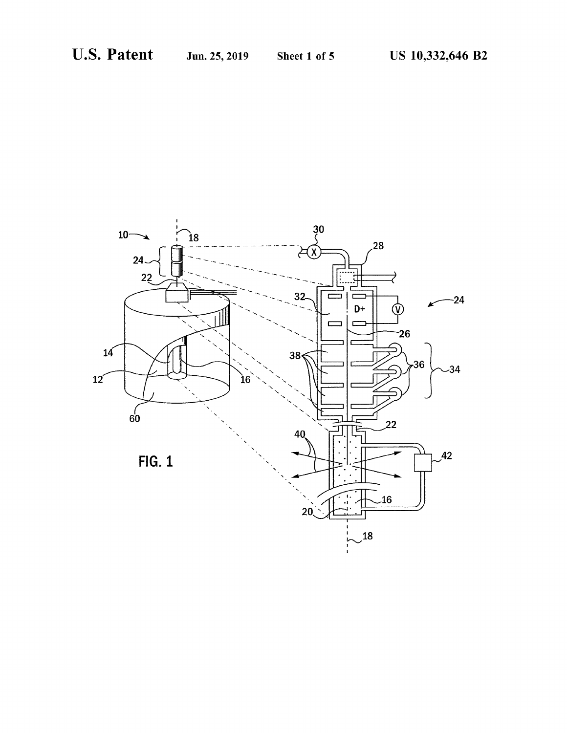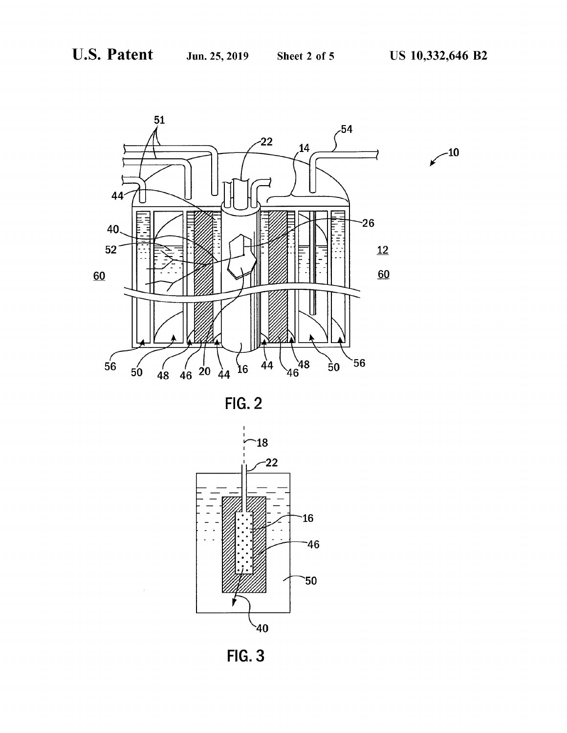





**FIG. 3**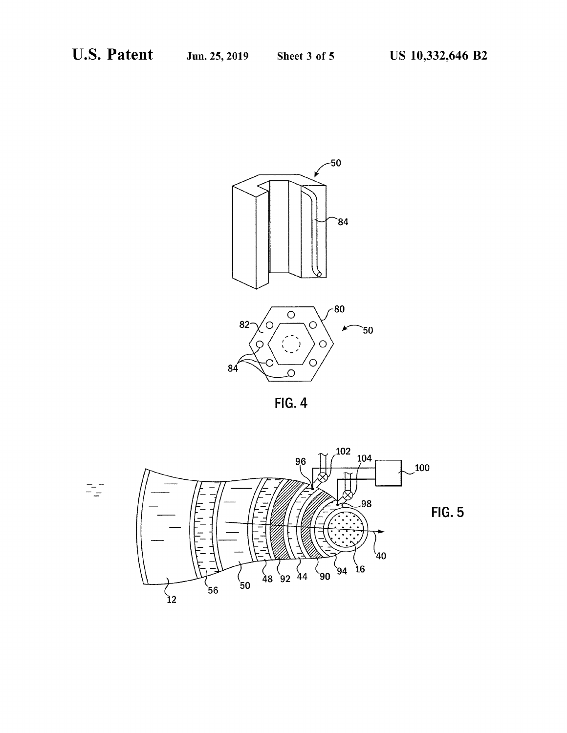

FIG.4

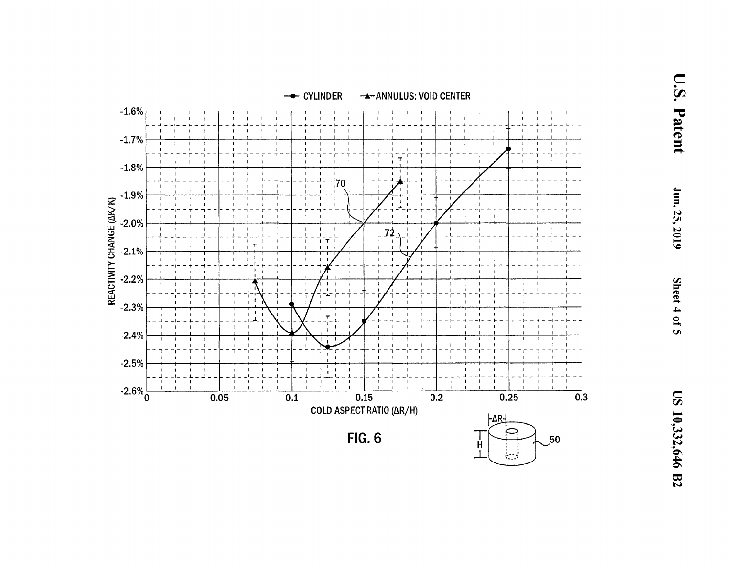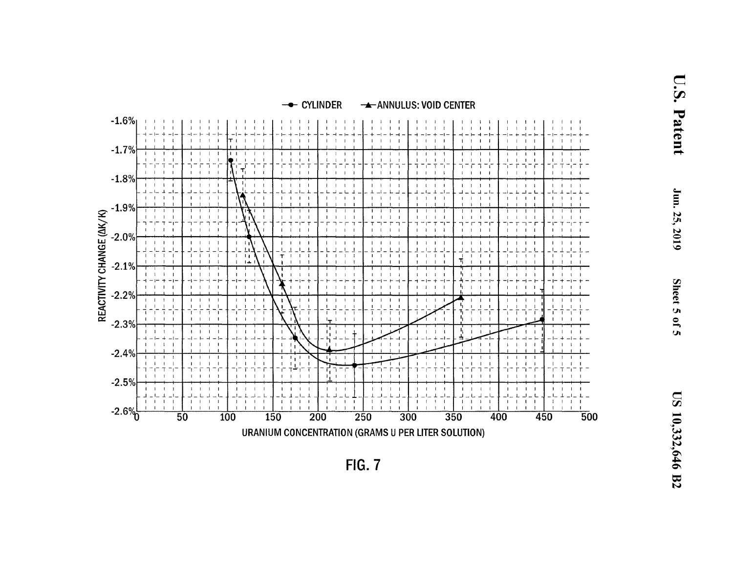- CYLINDER -ANNULUS: VOID CENTER



Sheet 5

 $96<sup>2</sup>$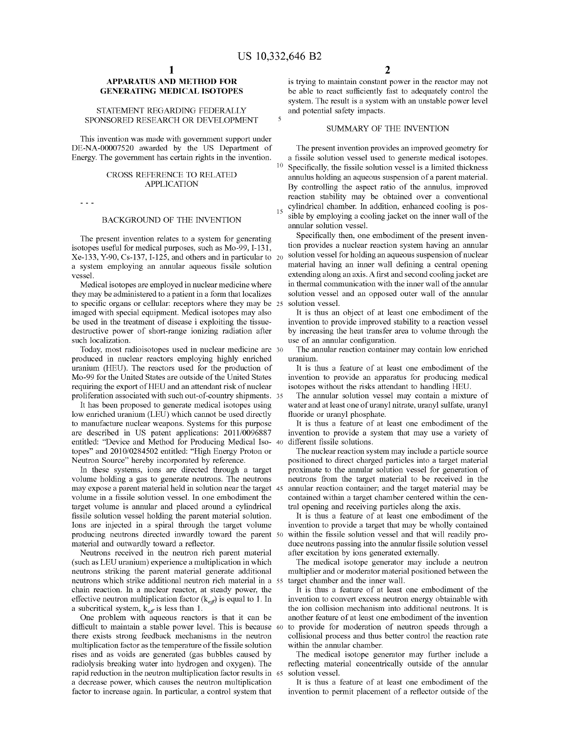$\overline{\mathbf{5}}$ 

#### **APPARATUS AND METHOD FOR GENERATING MEDICAL ISOTOPES**

#### STATEMENT REGARDING FEDERALLY SPONSORED RESEARCH OR DEVELOPMENT

This invention was made with govermnent support under DE-NA-00007520 awarded by the US Department of Energy. The govermnent has certain rights in the invention.

#### CROSS REFERENCE TO RELATED APPLICATION

#### BACKGROUND OF THE INVENTION

The present invention relates to a system for generating isotopes useful for medical purposes, such as Mo-99, I-131, Xe-133, Y-90, Cs-137, I-125, and others and in particular to a system employing an annular aqueous fissile solution vessel.

Medical isotopes are employed in nuclear medicine where they may be administered to a patient in a form that localizes to specific organs or cellular: receptors where they may be 25 imaged with special equipment. Medical isotopes may also be used in the treatment of disease i exploiting the tissuedestructive power of short-range ionizing radiation after such localization.

Today, most radioisotopes used in nuclear medicine are 30 produced in nuclear reactors employing highly enriched uranium (HEU). The reactors used for the production of Mo-99 for the United States are outside of the United States requiring the export of HEU and an attendant risk of nuclear proliferation associated with such out-of-country shipments. 35

It has been proposed to generate medical isotopes using low enriched uranium (LEU) which cannot be used directly to manufacture nuclear weapons. Systems for this purpose It is thus a feature of at least one embodiment of the are described in US patent applications: 2011/0096887 entitled: "Device and Method for Producing Medical Isotopes" and 2010/0284502 entitled: "High Energy Proton or Neutron Source" hereby incorporated by reference.

In these systems, ions are directed through a target volume holding a gas to generate neutrons. The neutrons may expose a parent material held in solution near the target 45 volume in a fissile solution vessel. In one embodiment the target volume is annular and placed around a cylindrical fissile solution vessel holding the parent material solution. Ions are injected in a spiral through the target volume producing neutrons directed inwardly toward the parent 50 material and outwardly toward a reflector.

Neutrons received in the neutron rich parent material (such as LEU uranium) experience a multiplication in which neutrons striking the parent material generate additional neutrons which strike additional neutron rich material in a 55 chain reaction. In a nuclear reactor, at steady power, the effective neutron multiplication factor  $(k_{\text{eff}})$  is equal to 1. In a subcritical system,  $k_{\text{eff}}$  is less than 1.

One problem with aqueous reactors is that it can be difficult to maintain a stable power level. This is because 60 there exists strong feedback mechanisms in the neutron multiplication factor as the temperature of the fissile solution rises and as voids are generated (gas bubbles caused by radiolysis breaking water into hydrogen and oxygen). The rapid reduction in the neutron multiplication factor results in 65 a decrease power, which causes the neutron multiplication factor to increase again. In particular, a control system that

is trying to maintain constant power in the reactor may not be able to react sufficiently fast to adequately control the system. The result is a system with an unstable power level and potential safety impacts.

#### SUMMARY OF THE INVENTION

The present invention provides an improved geometry for a fissile solution vessel used to generate medical isotopes.  $10$  Specifically, the fissile solution vessel is a limited thickness annulus holding an aqueous suspension of a parent material. By controlling the aspect ratio of the annulus, improved reaction stability may be obtained over a conventional 15 cylindrical chamber. In addition, enhanced cooling is possible by employing a cooling jacket on the inner wall of the annular solution vessel.

Specifically then, one embodiment of the present invention provides a nuclear reaction system having an annular solution vessel for holding an aqueous suspension of nuclear material having an inner wall defining a central opening extending along an axis. A first and second cooling jacket are in thermal communication with the inner wall of the annular solution vessel and an opposed outer wall of the annular solution vessel.

It is thus an object of at least one embodiment of the invention to provide improved stability to a reaction vessel by increasing the heat transfer area to volume through the use of an annular configuration.

The annular reaction container may contain low enriched uramum.

It is thus a feature of at least one embodiment of the invention to provide an apparatus for producing medical isotopes without the risks attendant to handling HEU.

The annular solution vessel may contain a mixture of water and at least one of uranyl nitrate, uranyl sulfate, uranyl fluoride or uranyl phosphate.

invention to provide a system that may use a variety of different fissile solutions.

The nuclear reaction system may include a particle source positioned to direct charged particles into a target material proximate to the annular solution vessel for generation of neutrons from the target material to be received in the annular reaction container; and the target material may be contained within a target chamber centered within the central opening and receiving particles along the axis.

It is thus a feature of at least one embodiment of the invention to provide a target that may be wholly contained within the fissile solution vessel and that will readily produce neutrons passing into the annular fissile solution vessel after excitation by ions generated externally.

The medical isotope generator may include a neutron multiplier and or moderator material positioned between the target chamber and the inner wall.

It is thus a feature of at least one embodiment of the invention to convert excess neutron energy obtainable with the ion collision mechanism into additional neutrons. It is another feature of at least one embodiment of the invention 60 to provide for moderation of neutron speeds through a collisional process and thus better control the reaction rate within the annular chamber.

The medical isotope generator may further include a reflecting material concentrically outside of the annular solution vessel.

It is thus a feature of at least one embodiment of the invention to permit placement of a reflector outside of the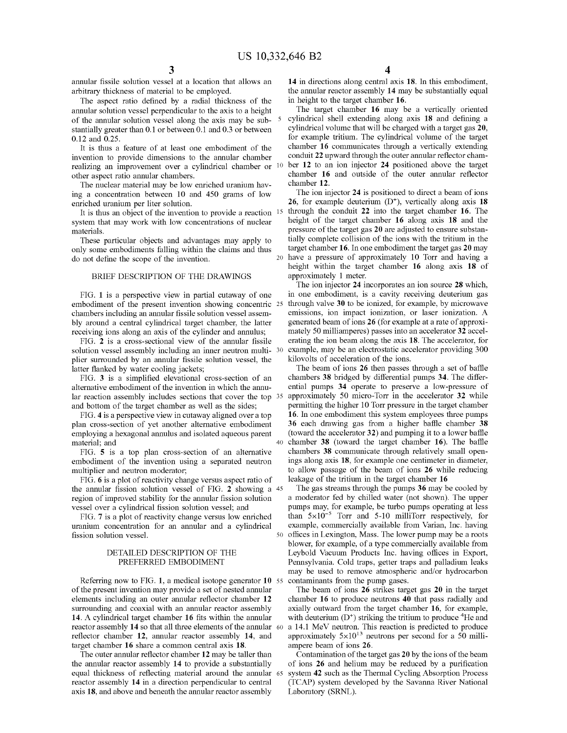annular fissile solution vessel at a location that allows an arbitrary thickness of material to be employed.

The aspect ratio defined by a radial thickness of the annular solution vessel perpendicular to the axis to a height of the annular solution vessel along the axis may be sub- <sup>5</sup> stantially greater than 0.1 or between 0.1 and 0.3 or between 0.12 and 0.25.

It is thus a feature of at least one embodiment of the invention to provide dimensions to the annular chamber realizing an improvement over a cylindrical chamber or other aspect ratio annular chambers.

The nuclear material may be low enriched uranium having a concentration between 10 and 450 grams of low enriched uranium per liter solution.

It is thus an object of the invention to provide a reaction 15 system that may work with low concentrations of nuclear materials.

These particular objects and advantages may apply to only some embodiments falling within the claims and thus do not define the scope of the invention.

#### BRIEF DESCRIPTION OF THE DRAWINGS

FIG. **1** is a perspective view in partial cutaway of one embodiment of the present invention showing concentric 25 chambers including an annular fissile solution vessel assembly around a central cylindrical target chamber, the latter receiving ions along an axis of the cylinder and annulus;

FIG. **2** is a cross-sectional view of the annular fissile solution vessel assembly including an inner neutron multi- 30 plier surrounded by an annular fissile solution vessel, the latter flanked by water cooling jackets;

FIG. **3** is a simplified elevational cross-section of an alternative embodiment of the invention in which the annular reaction assembly includes sections that cover the top 35 and bottom of the target chamber as well as the sides;

FIG. **4** is a perspective view in cutaway aligned over a top plan cross-section of yet another alternative embodiment employing a hexagonal annulus and isolated aqueous parent material; and

FIG. **5** is a top plan cross-section of an alternative embodiment of the invention using a separated neutron multiplier and neutron moderator;

FIG. 6 is a plot of reactivity change versus aspect ratio of the annular fission solution vessel of FIG. **2** showing a 45 region of improved stability for the annular fission solution vessel over a cylindrical fission solution vessel; and

FIG. **7** is a plot of reactivity change versus low enriched uranium concentration for an annular and a cylindrical fission solution vessel.

#### DETAILED DESCRIPTION OF THE PREFERRED EMBODIMENT

Referring now to FIG. **1,** a medical isotope generator **10**  of the present invention may provide a set of nested annular elements including an outer annular reflector chamber **12**  surrounding and coaxial with an annular reactor assembly **14.** A cylindrical target chamber **16** fits within the annular reactor assembly **14** so that all three elements of the annular reflector chamber **12,** annular reactor assembly **14,** and target chamber **16** share a common central axis **18.** 

The outer annular reflector chamber **12** may be taller than the annular reactor assembly **14** to provide a substantially equal thickness of reflecting material around the annular 65 reactor assembly **14** in a direction perpendicular to central axis **18,** and above and beneath the annular reactor assembly

**14** in directions along central axis **18.** In this embodiment, the annular reactor assembly **14** may be substantially equal in height to the target chamber **16.** 

The target chamber **16** may be a vertically oriented cylindrical shell extending along axis **18** and defining a cylindrical volume that will be charged with a target gas **20,**  for example tritium. The cylindrical volume of the target chamber **16** communicates through a vertically extending conduit **22** upward through the outer annular reflector cham-10 ber **12** to an ion injector **24** positioned above the target chamber **16** and outside of the outer annular reflector chamber **12.** 

The ion injector **24** is positioned to direct a beam of ions **26**, for example deuterium  $(D^+)$ , vertically along axis **18** through the conduit **22** into the target chamber **16.** The height of the target chamber **16** along axis **18** and the pressure of the target gas **20** are adjusted to ensure substantially complete collision of the ions with the tritium in the target chamber **16.** In one embodiment the target gas **20** may 20 have a pressure of approximately 10 Torr and having a height within the target chamber **16** along axis **18** of approximately 1 meter.

The ion injector **24** incorporates an ion source **28** which, in one embodiment, is a cavity receiving deuterium gas 25 through valve **30** to be ionized, for example, by microwave emissions, ion impact ionization, or laser ionization. A generated beam of ions **26** (for example at a rate of approximately 50 milliamperes) passes into an accelerator **32** accelerating the ion beam along the axis **18.** The accelerator, for 30 example, may be an electrostatic accelerator providing 300 kilovolts of acceleration of the ions.

The beam of ions **26** then passes through a set of baffle chambers **38** bridged by differential pumps **34.** The differential pumps **34** operate to preserve a low-pressure of 35 approximately 50 micro-Torr in the accelerator **32** while permitting the higher 10 Torr pressure in the target chamber **16.** In one embodiment this system employees three pumps **36** each drawing gas from a higher baffle chamber **38**  (toward the accelerator **32)** and pumping it to a lower baffle 40 chamber **38** (toward the target chamber **16).** The baffle chambers **38** communicate through relatively small openings along axis **18,** for example one centimeter in diameter, to allow passage of the beam of ions **26** while reducing leakage of the tritium in the target chamber **16** 

The gas streams through the pumps **36** may be cooled by a moderator fed by chilled water (not shown). The upper pumps may, for example, be turbo pumps operating at less than  $5\times10^{-5}$  Torr and  $5-10$  milliTorr respectively, for example, commercially available from Varian, Inc. having 50 offices in Lexington, Mass. The lower pump may be a roots blower, for example, of a type commercially available from Leybold Vacuum Products Inc. having offices in Export, Pennsylvania. Cold traps, getter traps and palladium leaks may be used to remove atmospheric and/or hydrocarbon contaminants from the pump gases.

The beam of ions **26** strikes target gas **20** in the target chamber **16** to produce neutrons **40** that pass radially and axially outward from the target chamber **16,** for example, with deuterium  $(D^+)$  striking the tritium to produce  ${}^4$ He and 60 a 14.1 MeV neutron. This reaction is predicted to produce approximately  $5\times10^{13}$  neutrons per second for a 50 milliampere beam of ions **26.** 

Contamination of the target gas **20** by the ions of the beam of ions **26** and helium may be reduced by a purification system 42 such as the Thermal Cycling Absorption Process (TCAP) system developed by the Savanna River National Laboratory (SRNL).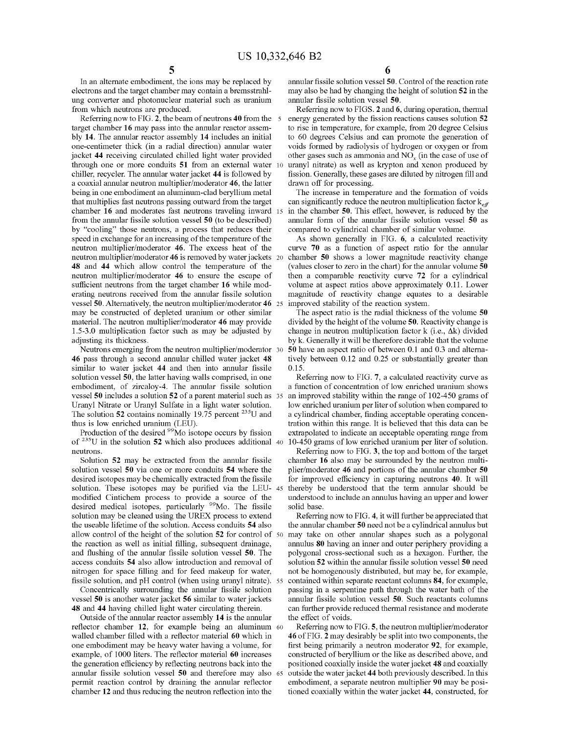In an alternate embodiment, the ions may be replaced by electrons and the target chamber may contain a bremsstrahlung converter and photonuclear material such as uranium from which neutrons are produced.

Referring now to FIG. **2,** the beam of neutrons **40** from the 5 target chamber **16** may pass into the annular reactor assembly **14.** The annular reactor assembly **14** includes an initial one-centimeter thick (in a radial direction) annular water jacket **44** receiving circulated chilled light water provided through one or more conduits **51** from an external water 10 chiller, recycler. The annular water jacket **44** is followed by a coaxial annular neutron multiplier/moderator **46,** the latter being in one embodiment an aluminum-clad beryllium metal that multiplies fast neutrons passing outward from the target chamber **16** and moderates fast neutrons traveling inward 15 from the annular fissile solution vessel **50** (to be described) by "cooling" those neutrons, a process that reduces their speed in exchange for an increasing of the temperature of the neutron multiplier/moderator **46.** The excess heat of the neutron multiplier/moderator **46** is removed by water jackets 20 **48** and **44** which allow control the temperature of the neutron multiplier/moderator **46** to ensure the escape of sufficient neutrons from the target chamber **16** while moderating neutrons received from the annular fissile solution vessel **50.** Alternatively, the neutron multiplier/moderator **46** 25 may be constructed of depleted uranium or other similar material. The neutron multiplier/moderator **46** may provide 1.5-3.0 multiplication factor such as may be adjusted by adjusting its thickness.

Neutrons emerging from the neutron multiplier/moderator 30 **46** pass through a second annular chilled water jacket **48**  similar to water jacket **44** and then into annular fissile solution vessel **50,** the latter having walls comprised, in one embodiment, of zircaloy-4. The annular fissile solution vessel **50** includes a solution **52** of a parent material such as 35 Uranyl Nitrate or Uranyl Sulfate in a light water solution. The solution **52** contains nominally 19.75 percent 235U and thus is low enriched uranium (LEU).

Production of the desired  $99$ Mo isotope occurs by fission of 235U in the solution **52** which also produces additional 40 neutrons.

Solution **52** may be extracted from the annular fissile solution vessel **50** via one or more conduits **54** where the desired isotopes may be chemically extracted from the fissile solution. These isotopes may be purified via the LEU- 45 modified Cintichem process to provide a source of the desired medical isotopes, particularly <sup>99</sup>Mo. The fissile solution may be cleaned using the UREX process to extend the useable lifetime of the solution. Access conduits **54** also allow control of the height of the solution **52** for control of 50 the reaction as well as initial filling, subsequent drainage, and flushing of the annular fissile solution vessel **50.** The access conduits **54** also allow introduction and removal of nitrogen for space filling and for feed makeup for water, fissile solution, and pH control (when using uranyl nitrate).

Concentrically surrounding the annular fissile solution vessel **50** is another water jacket **56** similar to water jackets **48** and **44** having chilled light water circulating therein.

Outside of the annular reactor assembly **14** is the annular the effect of voids. reflector chamber **12,** for example being an aluminum 60 walled chamber filled with a reflector material **60** which in one embodiment may be heavy water having a volume, for example, of 1000 liters. The reflector material **60** increases the generation efficiency by reflecting neutrons back into the annular fissile solution vessel **50** and therefore may also permit reaction control by draining the annular reflector chamber **12** and thus reducing the neutron reflection into the

**6** 

annular fissile solution vessel **50.** Control of the reaction rate may also be had by changing the height of solution **52** in the annular fissile solution vessel **50.** 

Referring now to FIGS. **2** and **6,** during operation, thermal energy generated by the fission reactions causes solution **52**  to rise in temperature, for example, from 20 degree Celsius to 60 degrees Celsius and can promote the generation of voids formed by radiolysis of hydrogen or oxygen or from other gases such as ammonia and  $NO<sub>r</sub>$  (in the case of use of uranyl nitrate) as well as krypton and xenon produced by fission. Generally, these gases are diluted by nitrogen fill and drawn off for processing.

The increase in temperature and the formation of voids can significantly reduce the neutron multiplication factor  $k_{\text{eff}}$ in the chamber **50.** This effect, however, is reduced by the annular form of the annular fissile solution vessel **50** as compared to cylindrical chamber of similar volume.

As shown generally in FIG. **6,** a calculated reactivity curve **70** as a function of aspect ratio for the annular chamber **50** shows a lower magnitude reactivity change (values closer to zero in the chart) for the annular volume **50**  then a comparable reactivity curve **72** for a cylindrical volume at aspect ratios above approximately 0.11. Lower magnitude of reactivity change equates to a desirable improved stability of the reaction system.

The aspect ratio is the radial thickness of the volume **50**  divided by the height of the volume **50.** Reactivity change is change in neutron multiplication factor k (i.e.,  $\Delta k$ ) divided by k. Generally it will be therefore desirable that the volume **50** have an aspect ratio of between 0.1 and 0.3 and alternatively between 0.12 and 0.25 or substantially greater than 0.15.

Referring now to FIG. **7,** a calculated reactivity curve as a function of concentration of low enriched uranium shows an improved stability within the range of 102-450 grams of low enriched uranium per liter of solution when compared to a cylindrical chamber, finding acceptable operating concentration within this range. It is believed that this data can be extrapolated to indicate an acceptable operating range from 10-450 grams of low enriched uranium per liter of solution.

Referring now to FIG. **3,** the top and bottom of the target chamber **16** also may be surrounded by the neutron multiplier/moderator **46** and portions of the annular chamber **50**  for improved efficiency in capturing neutrons **40.** It will thereby be understood that the term annular should be understood to include an annulus having an upper and lower solid base.

Referring now to FIG. **4,** it will further be appreciated that the annular chamber **50** need not be a cylindrical annulus but may take on other annular shapes such as a polygonal annulus **80** having an inner and outer periphery providing a polygonal cross-sectional such as a hexagon. Further, the solution **52** within the annular fissile solution vessel **50** need not be homogenously distributed, but may be, for example, 55 contained within separate reactant columns **84,** for example, passing in a serpentine path through the water bath of the annular fissile solution vessel **50.** Such reactants colunms can further provide reduced thermal resistance and moderate

Referring now to FIG. **5,** the neutron multiplier/moderator **46** of FIG. **2** may desirably be split into two components, the first being primarily a neutron moderator **92,** for example, constructed of beryllium or the like as described above, and positioned coaxially inside the water jacket **48** and coaxially 65 outside the water jacket **44** both previously described. In this embodiment, a separate neutron multiplier **90** may be positioned coaxially within the water jacket **44,** constructed, for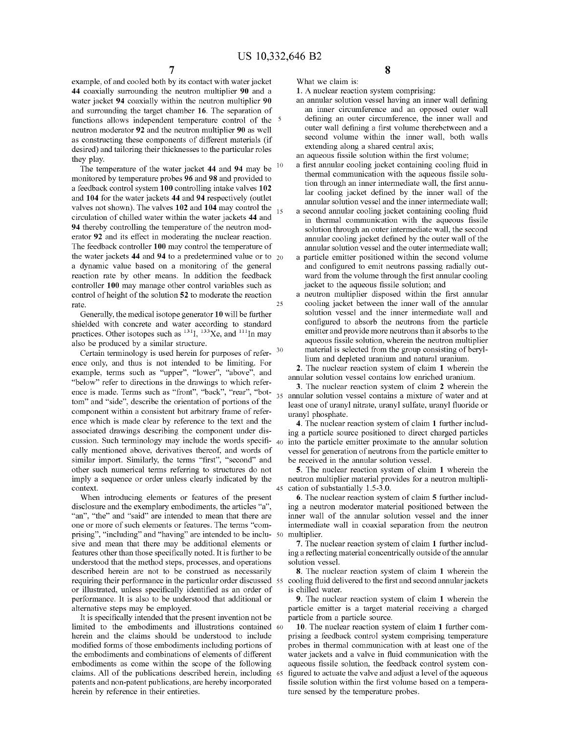example, of and cooled both by its contact with water jacket **44** coaxially surrounding the neutron multiplier **90** and a water jacket **94** coaxially within the neutron multiplier **90**  and surrounding the target chamber **16.** The separation of functions allows independent temperature control of the <sup>5</sup> neutron moderator **92** and the neutron multiplier **90** as well as constructing these components of different materials (if desired) and tailoring their thicknesses to the particular roles they play.

The temperature of the water jacket 44 and 94 may be monitored by temperature probes **96 and 98** and provided to a feedback control system **100** controlling intake valves **102**  and **104** for the water jackets **44** and **94** respectively ( outlet valves not shown). The valves 102 and 104 may control the <sub>15</sub> circulation of chilled water within the water jackets **44** and **94** thereby controlling the temperature of the neutron moderator **92** and its effect in moderating the nuclear reaction. The feedback controller **100** may control the temperature of the water jackets 44 and 94 to a predetermined value or to <sub>20</sub> a dynamic value based on a monitoring of the general reaction rate by other means. In addition the feedback controller **100** may manage other control variables such as control of height of the solution **52** to moderate the reaction rate. 25

Generally, the medical isotope generator **10** will be further shielded with concrete and water according to standard practices. Other isotopes such as  $^{131}$ I,  $^{133}$ Xe, and  $^{111}$ In may also be produced by a similar structure.

Certain terminology is used herein for purposes of refer- <sup>30</sup> ence only, and thus is not intended to be limiting. For example, terms such as "upper", "lower", "above", and<br>annular solution vessel contains low enriched uranium. "below" refer to directions in the drawings to which reference is made. Terms such as "front", "back", "rear", "bottom" and "side", describe the orientation of portions of the component within a consistent but arbitrary frame of reference which is made clear by reference to the text and the associated drawings describing the component under discussion. Such terminology may include the words specifically mentioned above, derivatives thereof, and words of similar import. Similarly, the terms "first", "second" and other such numerical terms referring to structures do not imply a sequence or order unless clearly indicated by the context.

When introducing elements or features of the present disclosure and the exemplary embodiments, the articles "a", "an", "the" and "said" are intended to mean that there are one or more of such elements or features. The terms "comprising", "including" and "having" are intended to be inclu- 50 sive and mean that there may be additional elements or features other than those specifically noted. It is further to be understood that the method steps, processes, and operations described herein are not to be construed as necessarily requiring their performance in the particular order discussed 55 cooling fluid delivered to the first and second annular jackets or illustrated, unless specifically identified as an order of performance. It is also to be understood that additional or alternative steps may be employed.

It is specifically intended that the present invention not be limited to the embodiments and illustrations contained 60 herein and the claims should be understood to include modified forms of those embodiments including portions of the embodiments and combinations of elements of different embodiments as come within the scope of the following claims. All of the publications described herein, including patents and non-patent publications, are hereby incorporated herein by reference in their entireties.

What we claim is:

**1.** A nuclear reaction system comprising:

an annular solution vessel having an inner wall defining an inner circumference and an opposed outer wall defining an outer circumference, the inner wall and outer wall defining a first volume therebetween and a second volume within the inner wall, both walls extending along a shared central axis;

an aqueous fissile solution within the first volume;

- a first annular cooling jacket containing cooling fluid in thermal communication with the aqueous fissile solution through an inner intermediate wall, the first annular cooling jacket defined by the inner wall of the annular solution vessel and the inner intermediate wall;
- a second annular cooling jacket containing cooling fluid in thermal communication with the aqueous fissile solution through an outer intermediate wall, the second annular cooling jacket defined by the outer wall of the annular solution vessel and the outer intermediate wall;
- a particle emitter positioned within the second volume and configured to emit neutrons passing radially outward from the volume through the first annular cooling jacket to the aqueous fissile solution; and
- a neutron multiplier disposed within the first annular cooling jacket between the inner wall of the annular solution vessel and the inner intermediate wall and configured to absorb the neutrons from the particle emitter and provide more neutrons than it absorbs to the aqueous fissile solution, wherein the neutron multiplier material is selected from the group consisting of beryllium and depleted uranium and natural uranium.

**2.** The nuclear reaction system of claim **1** wherein the

**3.** The nuclear reaction system of claim **2** wherein the 35 annular solution vessel contains a mixture of water and at least one of uranyl nitrate, uranyl sulfate, uranyl fluoride or uranyl phosphate.

**4.** The nuclear reaction system of claim **1** further including a particle source positioned to direct charged particles into the particle emitter proximate to the annular solution vessel for generation of neutrons from the particle emitter to be received in the annular solution vessel.

**5.** The nuclear reaction system of claim **1** wherein the neutron multiplier material provides for a neutron multipli-45 cation of substantially 1.5-3.0.

**6.** The nuclear reaction system of claim **5** further including a neutron moderator material positioned between the inner wall of the annular solution vessel and the inner intermediate wall in coaxial separation from the neutron multiplier.

**7.** The nuclear reaction system of claim **1** further including a reflecting material concentrically outside of the annular solution vessel.

**8.** The nuclear reaction system of claim **1** wherein the is chilled water.

**9.** The nuclear reaction system of claim **1** wherein the particle emitter is a target material receiving a charged particle from a particle source.

**10.** The nuclear reaction system of claim **1** further comprising a feedback control system comprising temperature probes in thermal communication with at least one of the water jackets and a valve in fluid communication with the aqueous fissile solution, the feedback control system configured to actuate the valve and adjust a level of the aqueous fissile solution within the first volume based on a temperature sensed by the temperature probes.

**8**